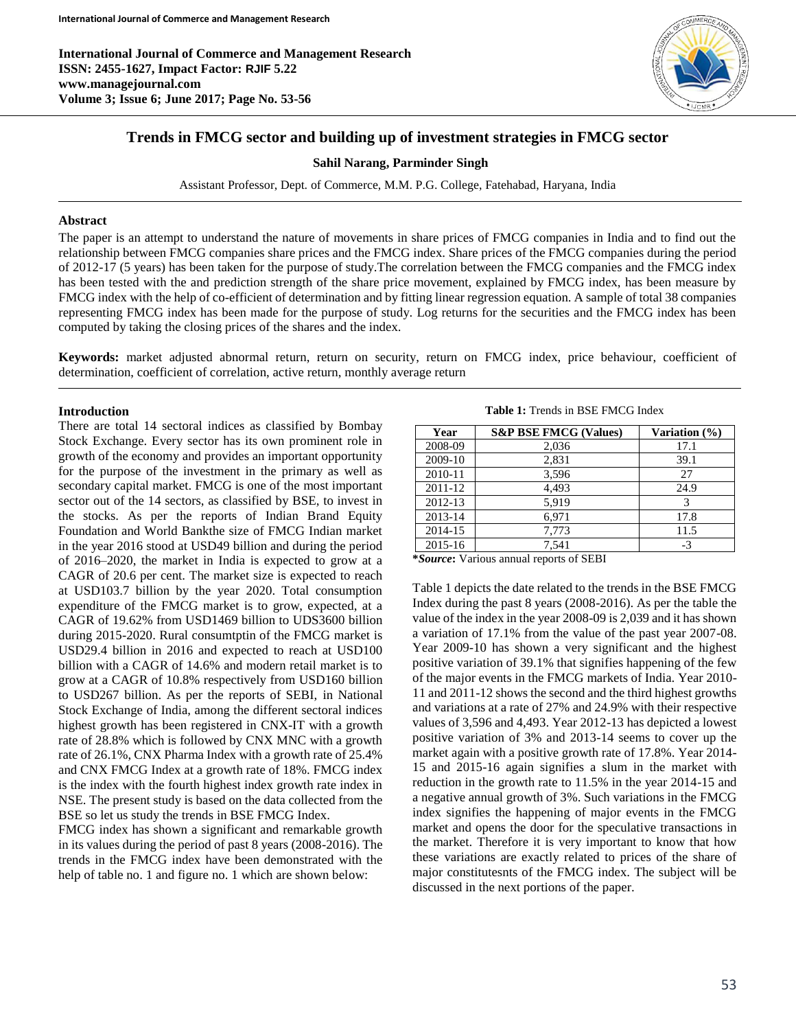**International Journal of Commerce and Management Research ISSN: 2455-1627, Impact Factor: RJIF 5.22 www.managejournal.com Volume 3; Issue 6; June 2017; Page No. 53-56**



# **Trends in FMCG sector and building up of investment strategies in FMCG sector**

#### **Sahil Narang, Parminder Singh**

Assistant Professor, Dept. of Commerce, M.M. P.G. College, Fatehabad, Haryana, India

#### **Abstract**

The paper is an attempt to understand the nature of movements in share prices of FMCG companies in India and to find out the relationship between FMCG companies share prices and the FMCG index. Share prices of the FMCG companies during the period of 2012-17 (5 years) has been taken for the purpose of study.The correlation between the FMCG companies and the FMCG index has been tested with the and prediction strength of the share price movement, explained by FMCG index, has been measure by FMCG index with the help of co-efficient of determination and by fitting linear regression equation. A sample of total 38 companies representing FMCG index has been made for the purpose of study. Log returns for the securities and the FMCG index has been computed by taking the closing prices of the shares and the index.

**Keywords:** market adjusted abnormal return, return on security, return on FMCG index, price behaviour, coefficient of determination, coefficient of correlation, active return, monthly average return

#### **Introduction**

There are total 14 sectoral indices as classified by Bombay Stock Exchange. Every sector has its own prominent role in growth of the economy and provides an important opportunity for the purpose of the investment in the primary as well as secondary capital market. FMCG is one of the most important sector out of the 14 sectors, as classified by BSE, to invest in the stocks. As per the reports of Indian Brand Equity Foundation and World Bankthe size of FMCG Indian market in the year 2016 stood at USD49 billion and during the period of 2016–2020, the market in India is expected to grow at a CAGR of 20.6 per cent. The market size is expected to reach at USD103.7 billion by the year 2020. Total consumption expenditure of the FMCG market is to grow, expected, at a CAGR of 19.62% from USD1469 billion to UDS3600 billion during 2015-2020. Rural consumtptin of the FMCG market is USD29.4 billion in 2016 and expected to reach at USD100 billion with a CAGR of 14.6% and modern retail market is to grow at a CAGR of 10.8% respectively from USD160 billion to USD267 billion. As per the reports of SEBI, in National Stock Exchange of India, among the different sectoral indices highest growth has been registered in CNX-IT with a growth rate of 28.8% which is followed by CNX MNC with a growth rate of 26.1%, CNX Pharma Index with a growth rate of 25.4% and CNX FMCG Index at a growth rate of 18%. FMCG index is the index with the fourth highest index growth rate index in NSE. The present study is based on the data collected from the BSE so let us study the trends in BSE FMCG Index.

FMCG index has shown a significant and remarkable growth in its values during the period of past 8 years (2008-2016). The trends in the FMCG index have been demonstrated with the help of table no. 1 and figure no. 1 which are shown below:

**Table 1:** Trends in BSE FMCG Index

| Year    | <b>S&amp;P BSE FMCG (Values)</b> | Variation (%) |
|---------|----------------------------------|---------------|
| 2008-09 | 2,036                            | 17.1          |
| 2009-10 | 2,831                            | 39.1          |
| 2010-11 | 3,596                            | 27            |
| 2011-12 | 4.493                            | 24.9          |
| 2012-13 | 5.919                            |               |
| 2013-14 | 6,971                            | 17.8          |
| 2014-15 | 7,773                            | 11.5          |
| 2015-16 | 7.541                            | $-3$          |

**\****Source***:** Various annual reports of SEBI

Table 1 depicts the date related to the trends in the BSE FMCG Index during the past 8 years (2008-2016). As per the table the value of the index in the year 2008-09 is 2,039 and it has shown a variation of 17.1% from the value of the past year 2007-08. Year 2009-10 has shown a very significant and the highest positive variation of 39.1% that signifies happening of the few of the major events in the FMCG markets of India. Year 2010- 11 and 2011-12 shows the second and the third highest growths and variations at a rate of 27% and 24.9% with their respective values of 3,596 and 4,493. Year 2012-13 has depicted a lowest positive variation of 3% and 2013-14 seems to cover up the market again with a positive growth rate of 17.8%. Year 2014- 15 and 2015-16 again signifies a slum in the market with reduction in the growth rate to 11.5% in the year 2014-15 and a negative annual growth of 3%. Such variations in the FMCG index signifies the happening of major events in the FMCG market and opens the door for the speculative transactions in the market. Therefore it is very important to know that how these variations are exactly related to prices of the share of major constitutesnts of the FMCG index. The subject will be discussed in the next portions of the paper.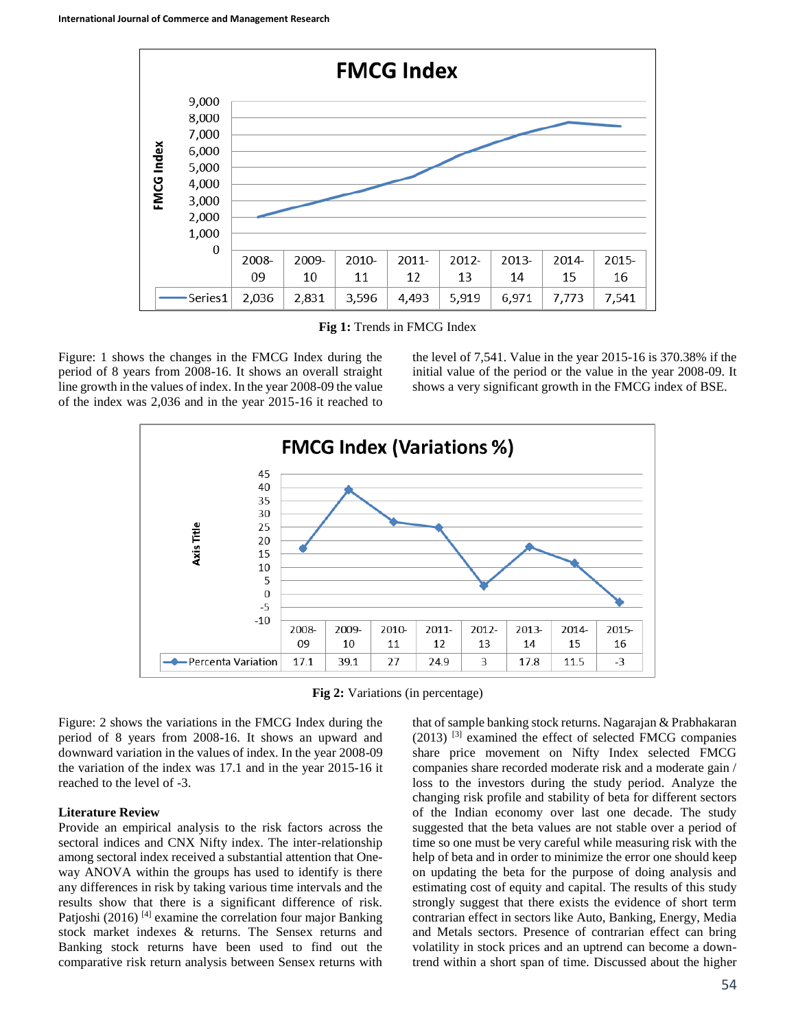

**Fig 1:** Trends in FMCG Index

Figure: 1 shows the changes in the FMCG Index during the period of 8 years from 2008-16. It shows an overall straight line growth in the values of index. In the year 2008-09 the value of the index was 2,036 and in the year 2015-16 it reached to

the level of 7,541. Value in the year 2015-16 is 370.38% if the initial value of the period or the value in the year 2008-09. It shows a very significant growth in the FMCG index of BSE.



**Fig 2:** Variations (in percentage)

Figure: 2 shows the variations in the FMCG Index during the period of 8 years from 2008-16. It shows an upward and downward variation in the values of index. In the year 2008-09 the variation of the index was 17.1 and in the year 2015-16 it reached to the level of -3.

#### **Literature Review**

Provide an empirical analysis to the risk factors across the sectoral indices and CNX Nifty index. The inter-relationship among sectoral index received a substantial attention that Oneway ANOVA within the groups has used to identify is there any differences in risk by taking various time intervals and the results show that there is a significant difference of risk. Patjoshi (2016)<sup>[4]</sup> examine the correlation four major Banking stock market indexes & returns. The Sensex returns and Banking stock returns have been used to find out the comparative risk return analysis between Sensex returns with

that of sample banking stock returns. Nagarajan & Prabhakaran  $(2013)$  <sup>[3]</sup> examined the effect of selected FMCG companies share price movement on Nifty Index selected FMCG companies share recorded moderate risk and a moderate gain / loss to the investors during the study period. Analyze the changing risk profile and stability of beta for different sectors of the Indian economy over last one decade. The study suggested that the beta values are not stable over a period of time so one must be very careful while measuring risk with the help of beta and in order to minimize the error one should keep on updating the beta for the purpose of doing analysis and estimating cost of equity and capital. The results of this study strongly suggest that there exists the evidence of short term contrarian effect in sectors like Auto, Banking, Energy, Media and Metals sectors. Presence of contrarian effect can bring volatility in stock prices and an uptrend can become a downtrend within a short span of time. Discussed about the higher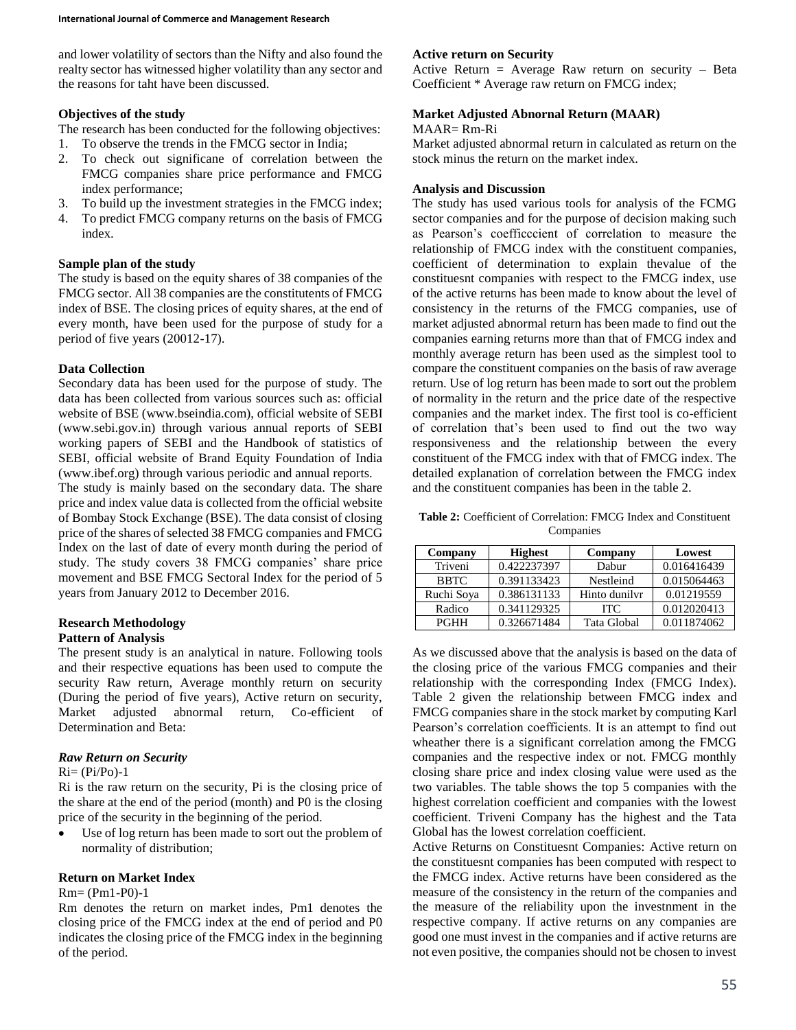and lower volatility of sectors than the Nifty and also found the realty sector has witnessed higher volatility than any sector and the reasons for taht have been discussed.

### **Objectives of the study**

The research has been conducted for the following objectives:

- 1. To observe the trends in the FMCG sector in India;
- 2. To check out significane of correlation between the FMCG companies share price performance and FMCG index performance;
- 3. To build up the investment strategies in the FMCG index;
- 4. To predict FMCG company returns on the basis of FMCG index.

### **Sample plan of the study**

The study is based on the equity shares of 38 companies of the FMCG sector. All 38 companies are the constitutents of FMCG index of BSE. The closing prices of equity shares, at the end of every month, have been used for the purpose of study for a period of five years (20012-17).

### **Data Collection**

Secondary data has been used for the purpose of study. The data has been collected from various sources such as: official website of BSE (www.bseindia.com), official website of SEBI (www.sebi.gov.in) through various annual reports of SEBI working papers of SEBI and the Handbook of statistics of SEBI, official website of Brand Equity Foundation of India (www.ibef.org) through various periodic and annual reports.

The study is mainly based on the secondary data. The share price and index value data is collected from the official website of Bombay Stock Exchange (BSE). The data consist of closing price of the shares of selected 38 FMCG companies and FMCG Index on the last of date of every month during the period of study. The study covers 38 FMCG companies' share price movement and BSE FMCG Sectoral Index for the period of 5 years from January 2012 to December 2016.

# **Research Methodology**

### **Pattern of Analysis**

The present study is an analytical in nature. Following tools and their respective equations has been used to compute the security Raw return, Average monthly return on security (During the period of five years), Active return on security, Market adjusted abnormal return, Co-efficient of Determination and Beta:

### *Raw Return on Security*

#### $Ri = (Pi/Po)-1$

Ri is the raw return on the security, Pi is the closing price of the share at the end of the period (month) and P0 is the closing price of the security in the beginning of the period.

 Use of log return has been made to sort out the problem of normality of distribution;

#### **Return on Market Index**

### Rm= (Pm1-P0)-1

Rm denotes the return on market indes, Pm1 denotes the closing price of the FMCG index at the end of period and P0 indicates the closing price of the FMCG index in the beginning of the period.

## **Active return on Security**

Active Return = Average Raw return on security  $-$  Beta Coefficient \* Average raw return on FMCG index;

### **Market Adjusted Abnornal Return (MAAR)**

#### MAAR= Rm-Ri

Market adjusted abnormal return in calculated as return on the stock minus the return on the market index.

### **Analysis and Discussion**

The study has used various tools for analysis of the FCMG sector companies and for the purpose of decision making such as Pearson's coefficccient of correlation to measure the relationship of FMCG index with the constituent companies, coefficient of determination to explain thevalue of the constituesnt companies with respect to the FMCG index, use of the active returns has been made to know about the level of consistency in the returns of the FMCG companies, use of market adjusted abnormal return has been made to find out the companies earning returns more than that of FMCG index and monthly average return has been used as the simplest tool to compare the constituent companies on the basis of raw average return. Use of log return has been made to sort out the problem of normality in the return and the price date of the respective companies and the market index. The first tool is co-efficient of correlation that's been used to find out the two way responsiveness and the relationship between the every constituent of the FMCG index with that of FMCG index. The detailed explanation of correlation between the FMCG index and the constituent companies has been in the table 2.

**Table 2:** Coefficient of Correlation: FMCG Index and Constituent Companies

| Company     | <b>Highest</b> | Company       | Lowest      |
|-------------|----------------|---------------|-------------|
| Triveni     | 0.422237397    | Dabur         | 0.016416439 |
| <b>BBTC</b> | 0.391133423    | Nestleind     | 0.015064463 |
| Ruchi Soya  | 0.386131133    | Hinto dunilyr | 0.01219559  |
| Radico      | 0.341129325    | <b>ITC</b>    | 0.012020413 |
| <b>PGHH</b> | 0.326671484    | Tata Global   | 0.011874062 |

As we discussed above that the analysis is based on the data of the closing price of the various FMCG companies and their relationship with the corresponding Index (FMCG Index). Table 2 given the relationship between FMCG index and FMCG companies share in the stock market by computing Karl Pearson's correlation coefficients. It is an attempt to find out wheather there is a significant correlation among the FMCG companies and the respective index or not. FMCG monthly closing share price and index closing value were used as the two variables. The table shows the top 5 companies with the highest correlation coefficient and companies with the lowest coefficient. Triveni Company has the highest and the Tata Global has the lowest correlation coefficient.

Active Returns on Constituesnt Companies: Active return on the constituesnt companies has been computed with respect to the FMCG index. Active returns have been considered as the measure of the consistency in the return of the companies and the measure of the reliability upon the investnment in the respective company. If active returns on any companies are good one must invest in the companies and if active returns are not even positive, the companies should not be chosen to invest